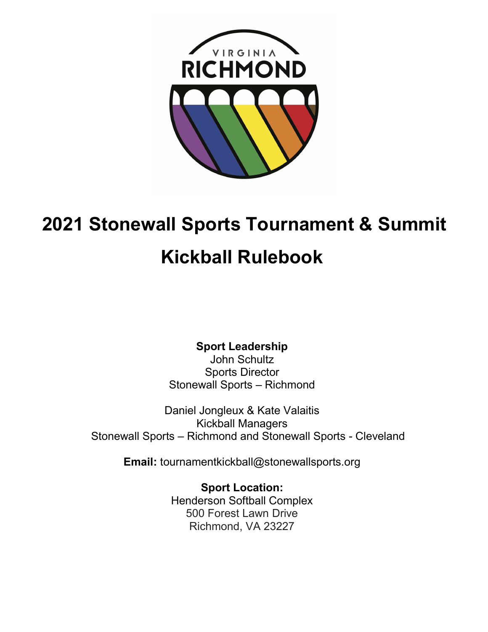

# 2021 Stonewall Sports Tournament & Summit

# Kickball Rulebook

Sport Leadership

John Schultz Sports Director Stonewall Sports – Richmond

Daniel Jongleux & Kate Valaitis Kickball Managers Stonewall Sports – Richmond and Stonewall Sports - Cleveland

Email: tournamentkickball@stonewallsports.org

Sport Location: Henderson Softball Complex 500 Forest Lawn Drive Richmond, VA 23227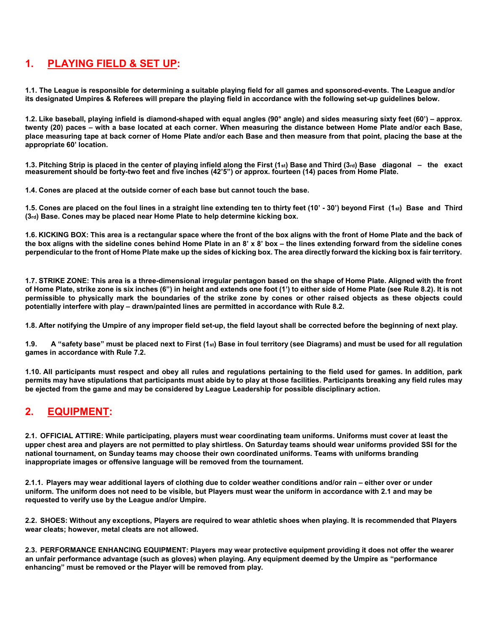#### 1. PLAYING FIELD & SET UP:

1.1. The League is responsible for determining a suitable playing field for all games and sponsored-events. The League and/or its designated Umpires & Referees will prepare the playing field in accordance with the following set-up guidelines below.

1.2. Like baseball, playing infield is diamond-shaped with equal angles (90° angle) and sides measuring sixty feet (60') – approx. twenty (20) paces – with a base located at each corner. When measuring the distance between Home Plate and/or each Base, place measuring tape at back corner of Home Plate and/or each Base and then measure from that point, placing the base at the appropriate 60' location.

1.3. Pitching Strip is placed in the center of playing infield along the First (1st) Base and Third (3rd) Base diagonal – the exact measurement should be forty-two feet and five inches (42'5") or approx. fourteen (14) paces from Home Plate.

1.4. Cones are placed at the outside corner of each base but cannot touch the base.

1.5. Cones are placed on the foul lines in a straight line extending ten to thirty feet (10' - 30') beyond First (1st) Base and Third (3rd) Base. Cones may be placed near Home Plate to help determine kicking box.

1.6. KICKING BOX: This area is a rectangular space where the front of the box aligns with the front of Home Plate and the back of the box aligns with the sideline cones behind Home Plate in an 8' x 8' box – the lines extending forward from the sideline cones perpendicular to the front of Home Plate make up the sides of kicking box. The area directly forward the kicking box is fair territory.

1.7. STRIKE ZONE: This area is a three-dimensional irregular pentagon based on the shape of Home Plate. Aligned with the front of Home Plate, strike zone is six inches (6") in height and extends one foot (1') to either side of Home Plate (see Rule 8.2). It is not permissible to physically mark the boundaries of the strike zone by cones or other raised objects as these objects could potentially interfere with play – drawn/painted lines are permitted in accordance with Rule 8.2.

1.8. After notifying the Umpire of any improper field set-up, the field layout shall be corrected before the beginning of next play.

1.9. A "safety base" must be placed next to First  $(1<sub>st</sub>)$  Base in foul territory (see Diagrams) and must be used for all regulation games in accordance with Rule 7.2.

1.10. All participants must respect and obey all rules and regulations pertaining to the field used for games. In addition, park permits may have stipulations that participants must abide by to play at those facilities. Participants breaking any field rules may be ejected from the game and may be considered by League Leadership for possible disciplinary action.

## 2. EQUIPMENT:

2.1. OFFICIAL ATTIRE: While participating, players must wear coordinating team uniforms. Uniforms must cover at least the upper chest area and players are not permitted to play shirtless. On Saturday teams should wear uniforms provided SSI for the national tournament, on Sunday teams may choose their own coordinated uniforms. Teams with uniforms branding inappropriate images or offensive language will be removed from the tournament.

2.1.1. Players may wear additional layers of clothing due to colder weather conditions and/or rain – either over or under uniform. The uniform does not need to be visible, but Players must wear the uniform in accordance with 2.1 and may be requested to verify use by the League and/or Umpire.

2.2. SHOES: Without any exceptions, Players are required to wear athletic shoes when playing. It is recommended that Players wear cleats; however, metal cleats are not allowed.

2.3. PERFORMANCE ENHANCING EQUIPMENT: Players may wear protective equipment providing it does not offer the wearer an unfair performance advantage (such as gloves) when playing. Any equipment deemed by the Umpire as "performance enhancing" must be removed or the Player will be removed from play.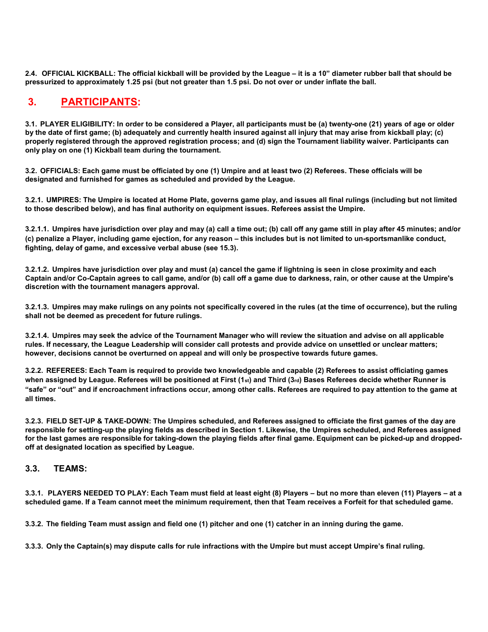2.4. OFFICIAL KICKBALL: The official kickball will be provided by the League – it is a 10" diameter rubber ball that should be pressurized to approximately 1.25 psi (but not greater than 1.5 psi. Do not over or under inflate the ball.

# 3. PARTICIPANTS:

3.1. PLAYER ELIGIBILITY: In order to be considered a Player, all participants must be (a) twenty-one (21) years of age or older by the date of first game; (b) adequately and currently health insured against all injury that may arise from kickball play; (c) properly registered through the approved registration process; and (d) sign the Tournament liability waiver. Participants can only play on one (1) Kickball team during the tournament.

3.2. OFFICIALS: Each game must be officiated by one (1) Umpire and at least two (2) Referees. These officials will be designated and furnished for games as scheduled and provided by the League.

3.2.1. UMPIRES: The Umpire is located at Home Plate, governs game play, and issues all final rulings (including but not limited to those described below), and has final authority on equipment issues. Referees assist the Umpire.

3.2.1.1. Umpires have jurisdiction over play and may (a) call a time out; (b) call off any game still in play after 45 minutes; and/or (c) penalize a Player, including game ejection, for any reason – this includes but is not limited to un-sportsmanlike conduct, fighting, delay of game, and excessive verbal abuse (see 15.3).

3.2.1.2. Umpires have jurisdiction over play and must (a) cancel the game if lightning is seen in close proximity and each Captain and/or Co-Captain agrees to call game, and/or (b) call off a game due to darkness, rain, or other cause at the Umpire's discretion with the tournament managers approval.

3.2.1.3. Umpires may make rulings on any points not specifically covered in the rules (at the time of occurrence), but the ruling shall not be deemed as precedent for future rulings.

3.2.1.4. Umpires may seek the advice of the Tournament Manager who will review the situation and advise on all applicable rules. If necessary, the League Leadership will consider call protests and provide advice on unsettled or unclear matters; however, decisions cannot be overturned on appeal and will only be prospective towards future games.

3.2.2. REFEREES: Each Team is required to provide two knowledgeable and capable (2) Referees to assist officiating games when assigned by League. Referees will be positioned at First (1st) and Third (3rd) Bases Referees decide whether Runner is "safe" or "out" and if encroachment infractions occur, among other calls. Referees are required to pay attention to the game at all times.

3.2.3. FIELD SET-UP & TAKE-DOWN: The Umpires scheduled, and Referees assigned to officiate the first games of the day are responsible for setting-up the playing fields as described in Section 1. Likewise, the Umpires scheduled, and Referees assigned for the last games are responsible for taking-down the playing fields after final game. Equipment can be picked-up and droppedoff at designated location as specified by League.

#### 3.3. TEAMS:

3.3.1. PLAYERS NEEDED TO PLAY: Each Team must field at least eight (8) Players – but no more than eleven (11) Players – at a scheduled game. If a Team cannot meet the minimum requirement, then that Team receives a Forfeit for that scheduled game.

3.3.2. The fielding Team must assign and field one (1) pitcher and one (1) catcher in an inning during the game.

3.3.3. Only the Captain(s) may dispute calls for rule infractions with the Umpire but must accept Umpire's final ruling.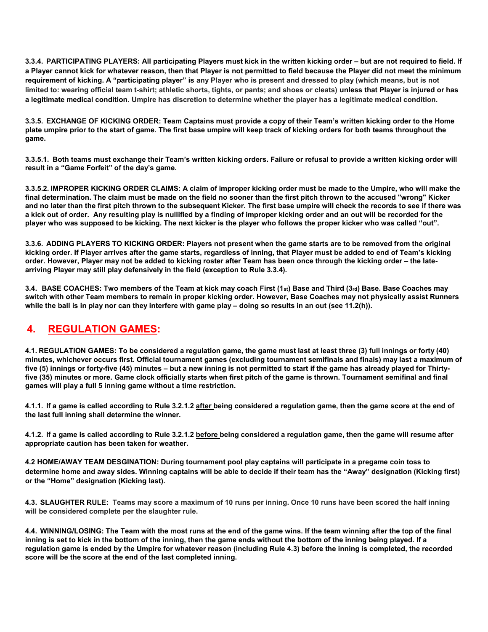3.3.4. PARTICIPATING PLAYERS: All participating Players must kick in the written kicking order – but are not required to field. If a Player cannot kick for whatever reason, then that Player is not permitted to field because the Player did not meet the minimum requirement of kicking. A "participating player" is any Player who is present and dressed to play (which means, but is not limited to: wearing official team t-shirt; athletic shorts, tights, or pants; and shoes or cleats) unless that Player is injured or has a legitimate medical condition. Umpire has discretion to determine whether the player has a legitimate medical condition.

3.3.5. EXCHANGE OF KICKING ORDER: Team Captains must provide a copy of their Team's written kicking order to the Home plate umpire prior to the start of game. The first base umpire will keep track of kicking orders for both teams throughout the game.

3.3.5.1. Both teams must exchange their Team's written kicking orders. Failure or refusal to provide a written kicking order will result in a "Game Forfeit" of the day's game.

3.3.5.2. IMPROPER KICKING ORDER CLAIMS: A claim of improper kicking order must be made to the Umpire, who will make the final determination. The claim must be made on the field no sooner than the first pitch thrown to the accused "wrong" Kicker and no later than the first pitch thrown to the subsequent Kicker. The first base umpire will check the records to see if there was a kick out of order. Any resulting play is nullified by a finding of improper kicking order and an out will be recorded for the player who was supposed to be kicking. The next kicker is the player who follows the proper kicker who was called "out".

3.3.6. ADDING PLAYERS TO KICKING ORDER: Players not present when the game starts are to be removed from the original kicking order. If Player arrives after the game starts, regardless of inning, that Player must be added to end of Team's kicking order. However, Player may not be added to kicking roster after Team has been once through the kicking order – the latearriving Player may still play defensively in the field (exception to Rule 3.3.4).

3.4. BASE COACHES: Two members of the Team at kick may coach First  $(1st)$  Base and Third  $(3rd)$  Base. Base Coaches may switch with other Team members to remain in proper kicking order. However, Base Coaches may not physically assist Runners while the ball is in play nor can they interfere with game play – doing so results in an out (see 11.2(h)).

#### 4. REGULATION GAMES:

4.1. REGULATION GAMES: To be considered a regulation game, the game must last at least three (3) full innings or forty (40) minutes, whichever occurs first. Official tournament games (excluding tournament semifinals and finals) may last a maximum of five (5) innings or forty-five (45) minutes – but a new inning is not permitted to start if the game has already played for Thirtyfive (35) minutes or more. Game clock officially starts when first pitch of the game is thrown. Tournament semifinal and final games will play a full 5 inning game without a time restriction.

4.1.1. If a game is called according to Rule 3.2.1.2 after being considered a regulation game, then the game score at the end of the last full inning shall determine the winner.

4.1.2. If a game is called according to Rule 3.2.1.2 before being considered a regulation game, then the game will resume after appropriate caution has been taken for weather.

4.2 HOME/AWAY TEAM DESGINATION: During tournament pool play captains will participate in a pregame coin toss to determine home and away sides. Winning captains will be able to decide if their team has the "Away" designation (Kicking first) or the "Home" designation (Kicking last).

4.3. SLAUGHTER RULE: Teams may score a maximum of 10 runs per inning. Once 10 runs have been scored the half inning will be considered complete per the slaughter rule.

4.4. WINNING/LOSING: The Team with the most runs at the end of the game wins. If the team winning after the top of the final inning is set to kick in the bottom of the inning, then the game ends without the bottom of the inning being played. If a regulation game is ended by the Umpire for whatever reason (including Rule 4.3) before the inning is completed, the recorded score will be the score at the end of the last completed inning.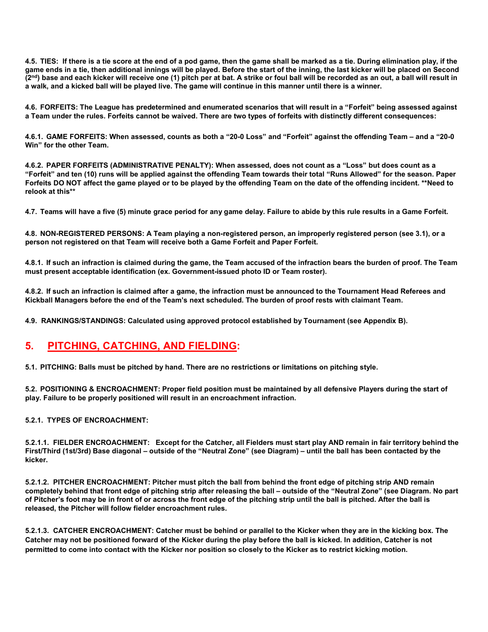4.5. TIES: If there is a tie score at the end of a pod game, then the game shall be marked as a tie. During elimination play, if the game ends in a tie, then additional innings will be played. Before the start of the inning, the last kicker will be placed on Second (2<sup>nd</sup>) base and each kicker will receive one (1) pitch per at bat. A strike or foul ball will be recorded as an out, a ball will result in a walk, and a kicked ball will be played live. The game will continue in this manner until there is a winner.

4.6. FORFEITS: The League has predetermined and enumerated scenarios that will result in a "Forfeit" being assessed against a Team under the rules. Forfeits cannot be waived. There are two types of forfeits with distinctly different consequences:

4.6.1. GAME FORFEITS: When assessed, counts as both a "20-0 Loss" and "Forfeit" against the offending Team – and a "20-0 Win" for the other Team.

4.6.2. PAPER FORFEITS (ADMINISTRATIVE PENALTY): When assessed, does not count as a "Loss" but does count as a "Forfeit" and ten (10) runs will be applied against the offending Team towards their total "Runs Allowed" for the season. Paper Forfeits DO NOT affect the game played or to be played by the offending Team on the date of the offending incident. \*\*Need to relook at this\*\*

4.7. Teams will have a five (5) minute grace period for any game delay. Failure to abide by this rule results in a Game Forfeit.

4.8. NON-REGISTERED PERSONS: A Team playing a non-registered person, an improperly registered person (see 3.1), or a person not registered on that Team will receive both a Game Forfeit and Paper Forfeit.

4.8.1. If such an infraction is claimed during the game, the Team accused of the infraction bears the burden of proof. The Team must present acceptable identification (ex. Government-issued photo ID or Team roster).

4.8.2. If such an infraction is claimed after a game, the infraction must be announced to the Tournament Head Referees and Kickball Managers before the end of the Team's next scheduled. The burden of proof rests with claimant Team.

4.9. RANKINGS/STANDINGS: Calculated using approved protocol established by Tournament (see Appendix B).

## 5. PITCHING, CATCHING, AND FIELDING:

5.1. PITCHING: Balls must be pitched by hand. There are no restrictions or limitations on pitching style.

5.2. POSITIONING & ENCROACHMENT: Proper field position must be maintained by all defensive Players during the start of play. Failure to be properly positioned will result in an encroachment infraction.

5.2.1. TYPES OF ENCROACHMENT:

5.2.1.1. FIELDER ENCROACHMENT: Except for the Catcher, all Fielders must start play AND remain in fair territory behind the First/Third (1st/3rd) Base diagonal – outside of the "Neutral Zone" (see Diagram) – until the ball has been contacted by the kicker.

5.2.1.2. PITCHER ENCROACHMENT: Pitcher must pitch the ball from behind the front edge of pitching strip AND remain completely behind that front edge of pitching strip after releasing the ball – outside of the "Neutral Zone" (see Diagram. No part of Pitcher's foot may be in front of or across the front edge of the pitching strip until the ball is pitched. After the ball is released, the Pitcher will follow fielder encroachment rules.

5.2.1.3. CATCHER ENCROACHMENT: Catcher must be behind or parallel to the Kicker when they are in the kicking box. The Catcher may not be positioned forward of the Kicker during the play before the ball is kicked. In addition, Catcher is not permitted to come into contact with the Kicker nor position so closely to the Kicker as to restrict kicking motion.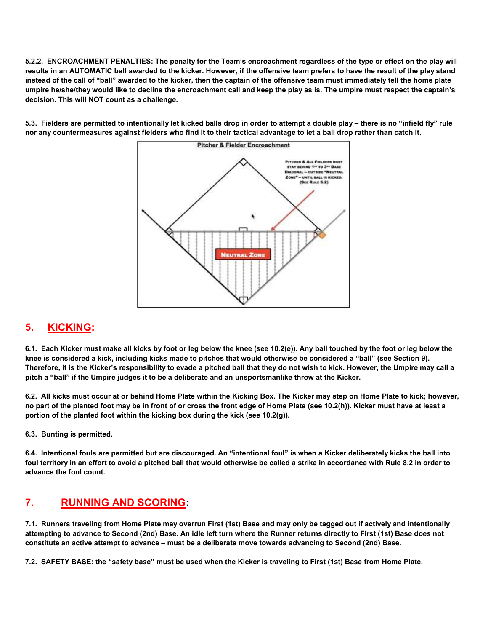5.2.2. ENCROACHMENT PENALTIES: The penalty for the Team's encroachment regardless of the type or effect on the play will results in an AUTOMATIC ball awarded to the kicker. However, if the offensive team prefers to have the result of the play stand instead of the call of "ball" awarded to the kicker, then the captain of the offensive team must immediately tell the home plate umpire he/she/they would like to decline the encroachment call and keep the play as is. The umpire must respect the captain's decision. This will NOT count as a challenge.

5.3. Fielders are permitted to intentionally let kicked balls drop in order to attempt a double play – there is no "infield fly" rule nor any countermeasures against fielders who find it to their tactical advantage to let a ball drop rather than catch it.



## 5. KICKING:

6.1. Each Kicker must make all kicks by foot or leg below the knee (see 10.2(e)). Any ball touched by the foot or leg below the knee is considered a kick, including kicks made to pitches that would otherwise be considered a "ball" (see Section 9). Therefore, it is the Kicker's responsibility to evade a pitched ball that they do not wish to kick. However, the Umpire may call a pitch a "ball" if the Umpire judges it to be a deliberate and an unsportsmanlike throw at the Kicker.

6.2. All kicks must occur at or behind Home Plate within the Kicking Box. The Kicker may step on Home Plate to kick; however, no part of the planted foot may be in front of or cross the front edge of Home Plate (see 10.2(h)). Kicker must have at least a portion of the planted foot within the kicking box during the kick (see  $10.2(q)$ ).

6.3. Bunting is permitted.

6.4. Intentional fouls are permitted but are discouraged. An "intentional foul" is when a Kicker deliberately kicks the ball into foul territory in an effort to avoid a pitched ball that would otherwise be called a strike in accordance with Rule 8.2 in order to advance the foul count.

#### 7. RUNNING AND SCORING:

7.1. Runners traveling from Home Plate may overrun First (1st) Base and may only be tagged out if actively and intentionally attempting to advance to Second (2nd) Base. An idle left turn where the Runner returns directly to First (1st) Base does not constitute an active attempt to advance – must be a deliberate move towards advancing to Second (2nd) Base.

7.2. SAFETY BASE: the "safety base" must be used when the Kicker is traveling to First (1st) Base from Home Plate.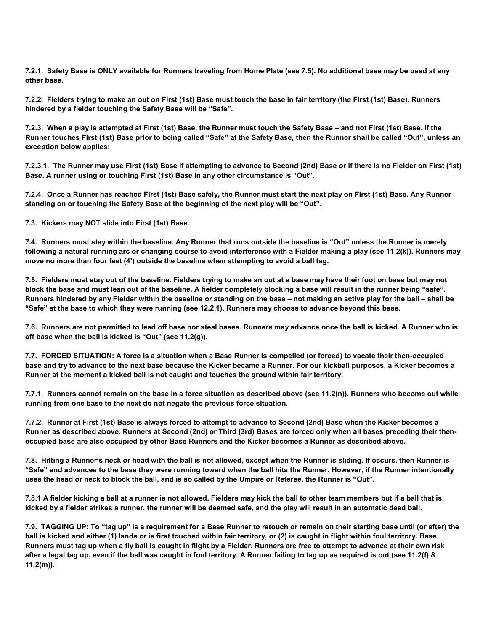7.2.1. Safety Base is ONLY available for Runners traveling from Home Plate (see 7.5). No additional base may be used at any other base.

7.2.2. Fielders trying to make an out on First (1st) Base must touch the base in fair territory (the First (1st) Base). Runners hindered by a fielder touching the Safety Base will be "Safe".

7.2.3. When a play is attempted at First (1st) Base, the Runner must touch the Safety Base – and not First (1st) Base. If the Runner touches First (1st) Base prior to being called "Safe" at the Safety Base, then the Runner shall be called "Out", unless an exception below applies:

7.2.3.1. The Runner may use First (1st) Base if attempting to advance to Second (2nd) Base or if there is no Fielder on First (1st) Base. A runner using or touching First (1st) Base in any other circumstance is "Out".

7.2.4. Once a Runner has reached First (1st) Base safely, the Runner must start the next play on First (1st) Base. Any Runner standing on or touching the Safety Base at the beginning of the next play will be "Out".

7.3. Kickers may NOT slide into First (1st) Base.

7.4. Runners must stay within the baseline. Any Runner that runs outside the baseline is "Out" unless the Runner is merely following a natural running arc or changing course to avoid interference with a Fielder making a play (see 11.2(k)). Runners may move no more than four feet (4') outside the baseline when attempting to avoid a ball tag.

7.5. Fielders must stay out of the baseline. Fielders trying to make an out at a base may have their foot on base but may not block the base and must lean out of the baseline. A fielder completely blocking a base will result in the runner being "safe". Runners hindered by any Fielder within the baseline or standing on the base – not making an active play for the ball – shall be "Safe" at the base to which they were running (see 12.2.1). Runners may choose to advance beyond this base.

7.6. Runners are not permitted to lead off base nor steal bases. Runners may advance once the ball is kicked. A Runner who is off base when the ball is kicked is "Out" (see 11.2(g)).

7.7. FORCED SITUATION: A force is a situation when a Base Runner is compelled (or forced) to vacate their then-occupied base and try to advance to the next base because the Kicker became a Runner. For our kickball purposes, a Kicker becomes a Runner at the moment a kicked ball is not caught and touches the ground within fair territory.

7.7.1. Runners cannot remain on the base in a force situation as described above (see 11.2(n)). Runners who become out while running from one base to the next do not negate the previous force situation.

7.7.2. Runner at First (1st) Base is always forced to attempt to advance to Second (2nd) Base when the Kicker becomes a Runner as described above. Runners at Second (2nd) or Third (3rd) Bases are forced only when all bases preceding their thenoccupied base are also occupied by other Base Runners and the Kicker becomes a Runner as described above.

7.8. Hitting a Runner's neck or head with the ball is not allowed, except when the Runner is sliding. If occurs, then Runner is "Safe" and advances to the base they were running toward when the ball hits the Runner. However, if the Runner intentionally uses the head or neck to block the ball, and is so called by the Umpire or Referee, the Runner is "Out".

7.8.1 A fielder kicking a ball at a runner is not allowed. Fielders may kick the ball to other team members but if a ball that is kicked by a fielder strikes a runner, the runner will be deemed safe, and the play will result in an automatic dead ball.

7.9. TAGGING UP: To "tag up" is a requirement for a Base Runner to retouch or remain on their starting base until (or after) the ball is kicked and either (1) lands or is first touched within fair territory, or (2) is caught in flight within foul territory. Base Runners must tag up when a fly ball is caught in flight by a Fielder. Runners are free to attempt to advance at their own risk after a legal tag up, even if the ball was caught in foul territory. A Runner failing to tag up as required is out (see 11.2(f) & 11.2(m)).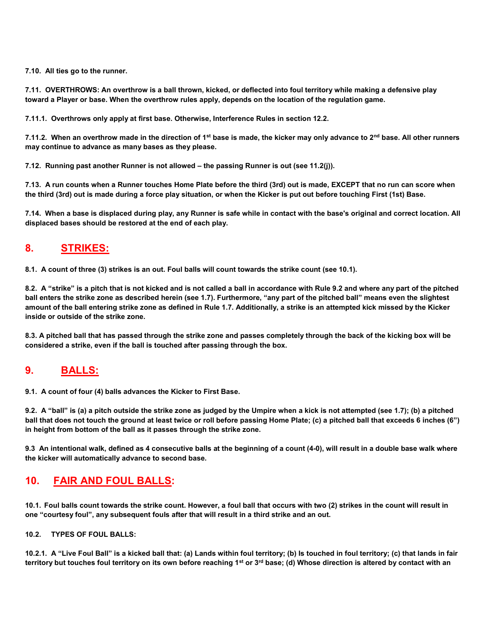7.10. All ties go to the runner.

7.11. OVERTHROWS: An overthrow is a ball thrown, kicked, or deflected into foul territory while making a defensive play toward a Player or base. When the overthrow rules apply, depends on the location of the regulation game.

7.11.1. Overthrows only apply at first base. Otherwise, Interference Rules in section 12.2.

7.11.2. When an overthrow made in the direction of 1<sup>st</sup> base is made, the kicker may only advance to 2<sup>nd</sup> base. All other runners may continue to advance as many bases as they please.

7.12. Running past another Runner is not allowed – the passing Runner is out (see 11.2(j)).

7.13. A run counts when a Runner touches Home Plate before the third (3rd) out is made, EXCEPT that no run can score when the third (3rd) out is made during a force play situation, or when the Kicker is put out before touching First (1st) Base.

7.14. When a base is displaced during play, any Runner is safe while in contact with the base's original and correct location. All displaced bases should be restored at the end of each play.

#### 8. STRIKES:

8.1. A count of three (3) strikes is an out. Foul balls will count towards the strike count (see 10.1).

8.2. A "strike" is a pitch that is not kicked and is not called a ball in accordance with Rule 9.2 and where any part of the pitched ball enters the strike zone as described herein (see 1.7). Furthermore, "any part of the pitched ball" means even the slightest amount of the ball entering strike zone as defined in Rule 1.7. Additionally, a strike is an attempted kick missed by the Kicker inside or outside of the strike zone.

8.3. A pitched ball that has passed through the strike zone and passes completely through the back of the kicking box will be considered a strike, even if the ball is touched after passing through the box.

#### 9. BALLS:

9.1. A count of four (4) balls advances the Kicker to First Base.

9.2. A "ball" is (a) a pitch outside the strike zone as judged by the Umpire when a kick is not attempted (see 1.7); (b) a pitched ball that does not touch the ground at least twice or roll before passing Home Plate; (c) a pitched ball that exceeds 6 inches (6") in height from bottom of the ball as it passes through the strike zone.

9.3 An intentional walk, defined as 4 consecutive balls at the beginning of a count (4-0), will result in a double base walk where the kicker will automatically advance to second base.

#### 10. FAIR AND FOUL BALLS:

10.1. Foul balls count towards the strike count. However, a foul ball that occurs with two (2) strikes in the count will result in one "courtesy foul", any subsequent fouls after that will result in a third strike and an out.

#### 10.2. TYPES OF FOUL BALLS:

10.2.1. A "Live Foul Ball" is a kicked ball that: (a) Lands within foul territory; (b) Is touched in foul territory; (c) that lands in fair territory but touches foul territory on its own before reaching 1<sup>st</sup> or  $3^{rd}$  base; (d) Whose direction is altered by contact with an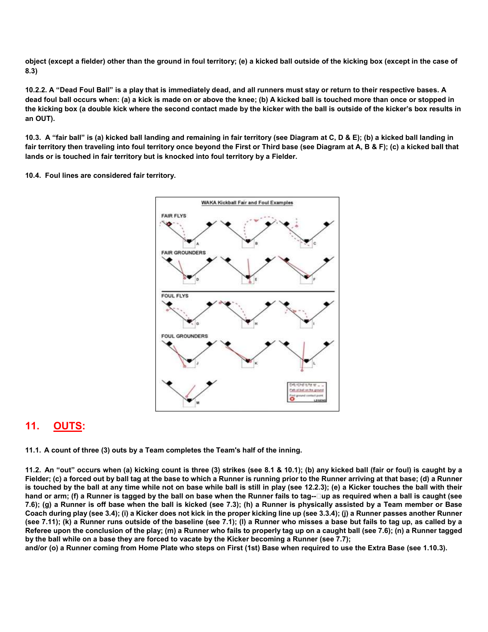object (except a fielder) other than the ground in foul territory; (e) a kicked ball outside of the kicking box (except in the case of 8.3)

10.2.2. A "Dead Foul Ball" is a play that is immediately dead, and all runners must stay or return to their respective bases. A dead foul ball occurs when: (a) a kick is made on or above the knee; (b) A kicked ball is touched more than once or stopped in the kicking box (a double kick where the second contact made by the kicker with the ball is outside of the kicker's box results in an OUT).

10.3. A "fair ball" is (a) kicked ball landing and remaining in fair territory (see Diagram at C, D & E); (b) a kicked ball landing in fair territory then traveling into foul territory once beyond the First or Third base (see Diagram at A, B & F); (c) a kicked ball that lands or is touched in fair territory but is knocked into foul territory by a Fielder.

10.4. Foul lines are considered fair territory.



#### 11. OUTS:

11.1. A count of three (3) outs by a Team completes the Team's half of the inning.

11.2. An "out" occurs when (a) kicking count is three (3) strikes (see 8.1 & 10.1); (b) any kicked ball (fair or foul) is caught by a Fielder; (c) a forced out by ball tag at the base to which a Runner is running prior to the Runner arriving at that base; (d) a Runner is touched by the ball at any time while not on base while ball is still in play (see 12.2.3); (e) a Kicker touches the ball with their hand or arm; (f) a Runner is tagged by the ball on base when the Runner fails to tag--□up as required when a ball is caught (see 7.6); (g) a Runner is off base when the ball is kicked (see 7.3); (h) a Runner is physically assisted by a Team member or Base Coach during play (see 3.4); (i) a Kicker does not kick in the proper kicking line up (see 3.3.4); (j) a Runner passes another Runner (see 7.11); (k) a Runner runs outside of the baseline (see 7.1); (l) a Runner who misses a base but fails to tag up, as called by a Referee upon the conclusion of the play; (m) a Runner who fails to properly tag up on a caught ball (see 7.6); (n) a Runner tagged by the ball while on a base they are forced to vacate by the Kicker becoming a Runner (see 7.7);

and/or (o) a Runner coming from Home Plate who steps on First (1st) Base when required to use the Extra Base (see 1.10.3).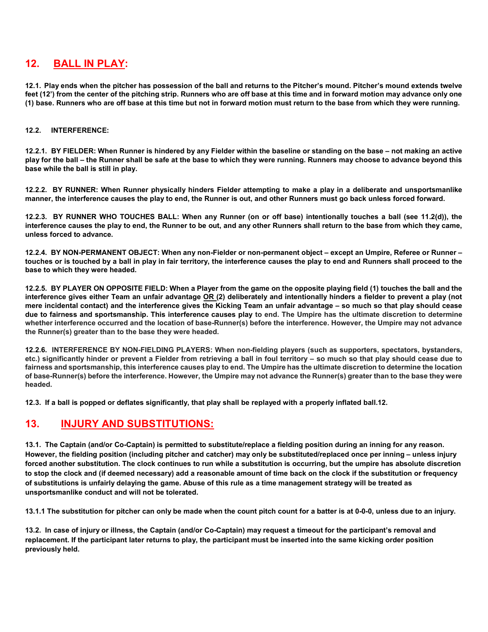#### 12. BALL IN PLAY:

12.1. Play ends when the pitcher has possession of the ball and returns to the Pitcher's mound. Pitcher's mound extends twelve feet (12') from the center of the pitching strip. Runners who are off base at this time and in forward motion may advance only one (1) base. Runners who are off base at this time but not in forward motion must return to the base from which they were running.

#### 12.2. INTERFERENCE:

12.2.1. BY FIELDER: When Runner is hindered by any Fielder within the baseline or standing on the base – not making an active play for the ball – the Runner shall be safe at the base to which they were running. Runners may choose to advance beyond this base while the ball is still in play.

12.2.2. BY RUNNER: When Runner physically hinders Fielder attempting to make a play in a deliberate and unsportsmanlike manner, the interference causes the play to end, the Runner is out, and other Runners must go back unless forced forward.

12.2.3. BY RUNNER WHO TOUCHES BALL: When any Runner (on or off base) intentionally touches a ball (see 11.2(d)), the interference causes the play to end, the Runner to be out, and any other Runners shall return to the base from which they came, unless forced to advance.

12.2.4. BY NON-PERMANENT OBJECT: When any non-Fielder or non-permanent object – except an Umpire, Referee or Runner – touches or is touched by a ball in play in fair territory, the interference causes the play to end and Runners shall proceed to the base to which they were headed.

12.2.5. BY PLAYER ON OPPOSITE FIELD: When a Player from the game on the opposite playing field (1) touches the ball and the interference gives either Team an unfair advantage OR (2) deliberately and intentionally hinders a fielder to prevent a play (not mere incidental contact) and the interference gives the Kicking Team an unfair advantage – so much so that play should cease due to fairness and sportsmanship. This interference causes play to end. The Umpire has the ultimate discretion to determine whether interference occurred and the location of base-Runner(s) before the interference. However, the Umpire may not advance the Runner(s) greater than to the base they were headed.

12.2.6. INTERFERENCE BY NON-FIELDING PLAYERS: When non-fielding players (such as supporters, spectators, bystanders, etc.) significantly hinder or prevent a Fielder from retrieving a ball in foul territory – so much so that play should cease due to fairness and sportsmanship, this interference causes play to end. The Umpire has the ultimate discretion to determine the location of base-Runner(s) before the interference. However, the Umpire may not advance the Runner(s) greater than to the base they were headed.

12.3. If a ball is popped or deflates significantly, that play shall be replayed with a properly inflated ball.12.

#### 13. INJURY AND SUBSTITUTIONS:

13.1. The Captain (and/or Co-Captain) is permitted to substitute/replace a fielding position during an inning for any reason. However, the fielding position (including pitcher and catcher) may only be substituted/replaced once per inning – unless injury forced another substitution. The clock continues to run while a substitution is occurring, but the umpire has absolute discretion to stop the clock and (if deemed necessary) add a reasonable amount of time back on the clock if the substitution or frequency of substitutions is unfairly delaying the game. Abuse of this rule as a time management strategy will be treated as unsportsmanlike conduct and will not be tolerated.

13.1.1 The substitution for pitcher can only be made when the count pitch count for a batter is at 0-0-0, unless due to an injury.

13.2. In case of injury or illness, the Captain (and/or Co-Captain) may request a timeout for the participant's removal and replacement. If the participant later returns to play, the participant must be inserted into the same kicking order position previously held.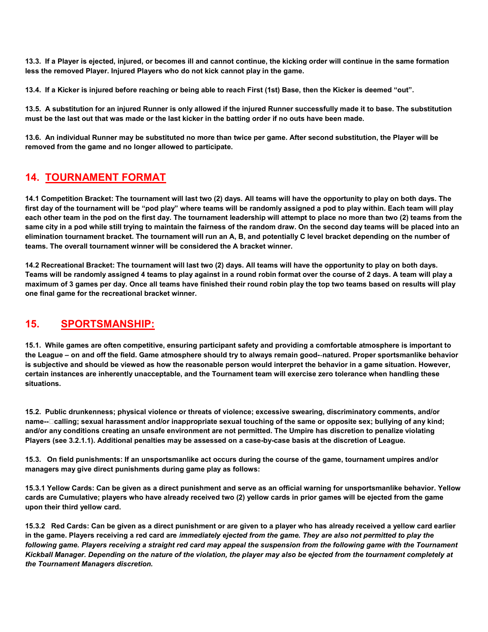13.3. If a Player is ejected, injured, or becomes ill and cannot continue, the kicking order will continue in the same formation less the removed Player. Injured Players who do not kick cannot play in the game.

13.4. If a Kicker is injured before reaching or being able to reach First (1st) Base, then the Kicker is deemed "out".

13.5. A substitution for an injured Runner is only allowed if the injured Runner successfully made it to base. The substitution must be the last out that was made or the last kicker in the batting order if no outs have been made.

13.6. An individual Runner may be substituted no more than twice per game. After second substitution, the Player will be removed from the game and no longer allowed to participate.

#### 14. TOURNAMENT FORMAT

14.1 Competition Bracket: The tournament will last two (2) days. All teams will have the opportunity to play on both days. The first day of the tournament will be "pod play" where teams will be randomly assigned a pod to play within. Each team will play each other team in the pod on the first day. The tournament leadership will attempt to place no more than two (2) teams from the same city in a pod while still trying to maintain the fairness of the random draw. On the second day teams will be placed into an elimination tournament bracket. The tournament will run an A, B, and potentially C level bracket depending on the number of teams. The overall tournament winner will be considered the A bracket winner.

14.2 Recreational Bracket: The tournament will last two (2) days. All teams will have the opportunity to play on both days. Teams will be randomly assigned 4 teams to play against in a round robin format over the course of 2 days. A team will play a maximum of 3 games per day. Once all teams have finished their round robin play the top two teams based on results will play one final game for the recreational bracket winner.

#### 15. SPORTSMANSHIP:

15.1. While games are often competitive, ensuring participant safety and providing a comfortable atmosphere is important to the League – on and off the field. Game atmosphere should try to always remain good-‐natured. Proper sportsmanlike behavior is subjective and should be viewed as how the reasonable person would interpret the behavior in a game situation. However, certain instances are inherently unacceptable, and the Tournament team will exercise zero tolerance when handling these situations.

15.2. Public drunkenness; physical violence or threats of violence; excessive swearing, discriminatory comments, and/or name--□calling; sexual harassment and/or inappropriate sexual touching of the same or opposite sex; bullying of any kind; and/or any conditions creating an unsafe environment are not permitted. The Umpire has discretion to penalize violating Players (see 3.2.1.1). Additional penalties may be assessed on a case-by-case basis at the discretion of League.

15.3. On field punishments: If an unsportsmanlike act occurs during the course of the game, tournament umpires and/or managers may give direct punishments during game play as follows:

15.3.1 Yellow Cards: Can be given as a direct punishment and serve as an official warning for unsportsmanlike behavior. Yellow cards are Cumulative; players who have already received two (2) yellow cards in prior games will be ejected from the game upon their third yellow card.

15.3.2 Red Cards: Can be given as a direct punishment or are given to a player who has already received a yellow card earlier in the game. Players receiving a red card are immediately ejected from the game. They are also not permitted to play the following game. Players receiving a straight red card may appeal the suspension from the following game with the Tournament Kickball Manager. Depending on the nature of the violation, the player may also be ejected from the tournament completely at the Tournament Managers discretion.